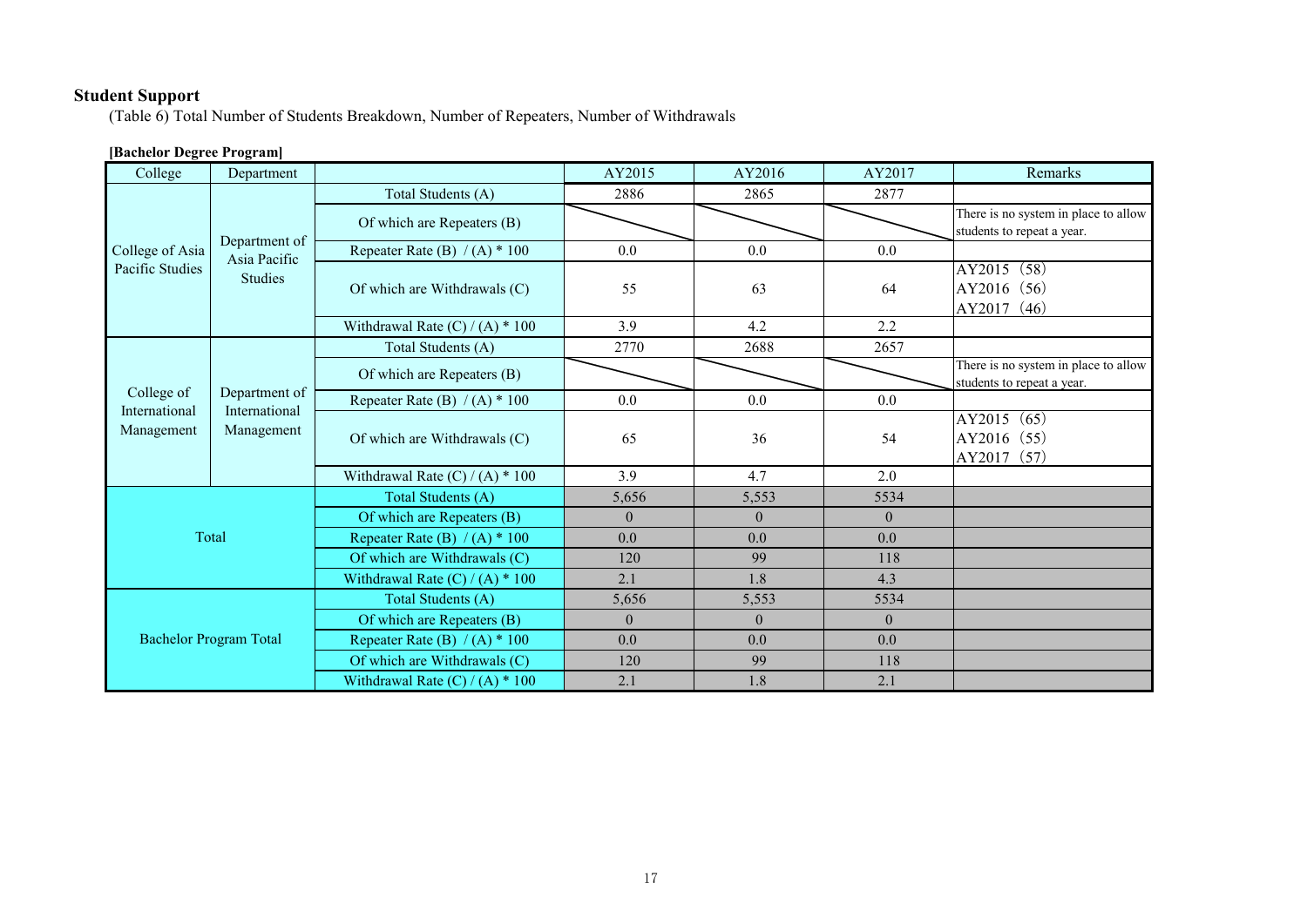# **Student Support**

(Table 6) Total Number of Students Breakdown, Number of Repeaters, Number of Withdrawals

# **[Bachelor Degree Program]**

| College                                   | Department                                      |                                   | AY2015         | AY2016   | AY2017         | Remarks                                                            |
|-------------------------------------------|-------------------------------------------------|-----------------------------------|----------------|----------|----------------|--------------------------------------------------------------------|
| College of Asia<br>Pacific Studies        | Department of<br>Asia Pacific<br><b>Studies</b> | Total Students (A)                | 2886           | 2865     | 2877           |                                                                    |
|                                           |                                                 | Of which are Repeaters (B)        |                |          |                | There is no system in place to allow<br>students to repeat a year. |
|                                           |                                                 | Repeater Rate (B) $/(A) * 100$    | 0.0            | 0.0      | 0.0            |                                                                    |
|                                           |                                                 | Of which are Withdrawals (C)      | 55             | 63       | 64             | AY2015 (58)<br>AY2016 (56)<br>AY2017 (46)                          |
|                                           |                                                 | Withdrawal Rate $(C) / (A) * 100$ | 3.9            | 4.2      | 2.2            |                                                                    |
| College of<br>International<br>Management | Department of<br>International<br>Management    | Total Students (A)                | 2770           | 2688     | 2657           |                                                                    |
|                                           |                                                 | Of which are Repeaters (B)        |                |          |                | There is no system in place to allow<br>students to repeat a year. |
|                                           |                                                 | Repeater Rate (B) $/(A) * 100$    | 0.0            | 0.0      | 0.0            |                                                                    |
|                                           |                                                 | Of which are Withdrawals (C)      | 65             | 36       | 54             | AY2015 (65)<br>AY2016 (55)<br>AY2017 (57)                          |
|                                           |                                                 | Withdrawal Rate $(C) / (A) * 100$ | 3.9            | 4.7      | 2.0            |                                                                    |
|                                           |                                                 | Total Students (A)                | 5,656          | 5,553    | 5534           |                                                                    |
|                                           |                                                 | Of which are Repeaters (B)        | $\overline{0}$ | $\theta$ | $\overline{0}$ |                                                                    |
| Total                                     |                                                 | Repeater Rate (B) $/(A) * 100$    | 0.0            | 0.0      | 0.0            |                                                                    |
|                                           |                                                 | Of which are Withdrawals (C)      | 120            | 99       | 118            |                                                                    |
|                                           |                                                 | Withdrawal Rate $(C) / (A) * 100$ | 2.1            | 1.8      | 4.3            |                                                                    |
| <b>Bachelor Program Total</b>             |                                                 | Total Students (A)                | 5,656          | 5,553    | 5534           |                                                                    |
|                                           |                                                 | Of which are Repeaters (B)        | $\overline{0}$ | $\theta$ | $\overline{0}$ |                                                                    |
|                                           |                                                 | Repeater Rate (B) $/(A)$ * 100    | 0.0            | 0.0      | 0.0            |                                                                    |
|                                           |                                                 | Of which are Withdrawals (C)      | 120            | 99       | 118            |                                                                    |
|                                           |                                                 | Withdrawal Rate $(C) / (A) * 100$ | 2.1            | 1.8      | 2.1            |                                                                    |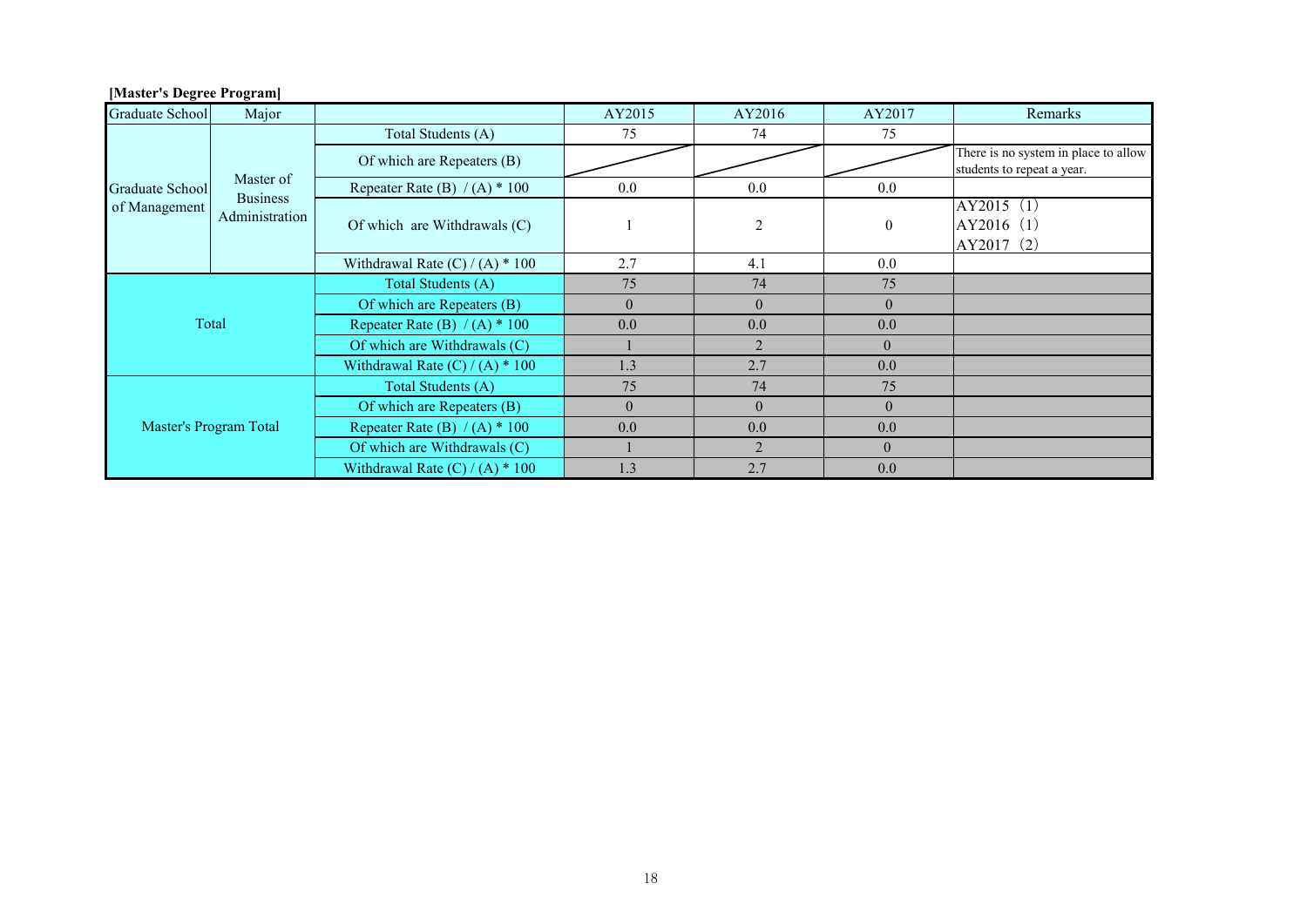| <b>Graduate School</b>           | Major                                          |                                   | AY2015   | AY2016         | AY2017         | Remarks                                                            |
|----------------------------------|------------------------------------------------|-----------------------------------|----------|----------------|----------------|--------------------------------------------------------------------|
| Graduate School<br>of Management | Master of<br><b>Business</b><br>Administration | Total Students (A)                | 75       | 74             | 75             |                                                                    |
|                                  |                                                | Of which are Repeaters (B)        |          |                |                | There is no system in place to allow<br>students to repeat a year. |
|                                  |                                                | Repeater Rate (B) $/(A)$ * 100    | $0.0\,$  | 0.0            | $0.0\,$        |                                                                    |
|                                  |                                                | Of which are Withdrawals (C)      |          | $\overline{2}$ | $\mathbf{0}$   | AY2015 (1)<br>AY2016 (1)<br>AY2017 (2)                             |
|                                  |                                                | Withdrawal Rate $(C) / (A) * 100$ | 2.7      | 4.1            | 0.0            |                                                                    |
| Total                            |                                                | Total Students (A)                | 75       | 74             | 75             |                                                                    |
|                                  |                                                | Of which are Repeaters (B)        | $\theta$ | $\theta$       | $\overline{0}$ |                                                                    |
|                                  |                                                | Repeater Rate (B) $/(A)$ * 100    | 0.0      | 0.0            | 0.0            |                                                                    |
|                                  |                                                | Of which are Withdrawals (C)      |          | 2              | $\theta$       |                                                                    |
|                                  |                                                | Withdrawal Rate $(C) / (A) * 100$ | 1.3      | 2.7            | 0.0            |                                                                    |
| Master's Program Total           |                                                | Total Students (A)                | 75       | 74             | 75             |                                                                    |
|                                  |                                                | Of which are Repeaters (B)        | $\theta$ | $\theta$       | $\theta$       |                                                                    |
|                                  |                                                | Repeater Rate (B) $/(A)$ * 100    | 0.0      | 0.0            | 0.0            |                                                                    |
|                                  |                                                | Of which are Withdrawals (C)      |          | 2              | $\theta$       |                                                                    |
|                                  |                                                | Withdrawal Rate $(C) / (A) * 100$ | 1.3      | 2.7            | 0.0            |                                                                    |

## **[Master's Degree Program]**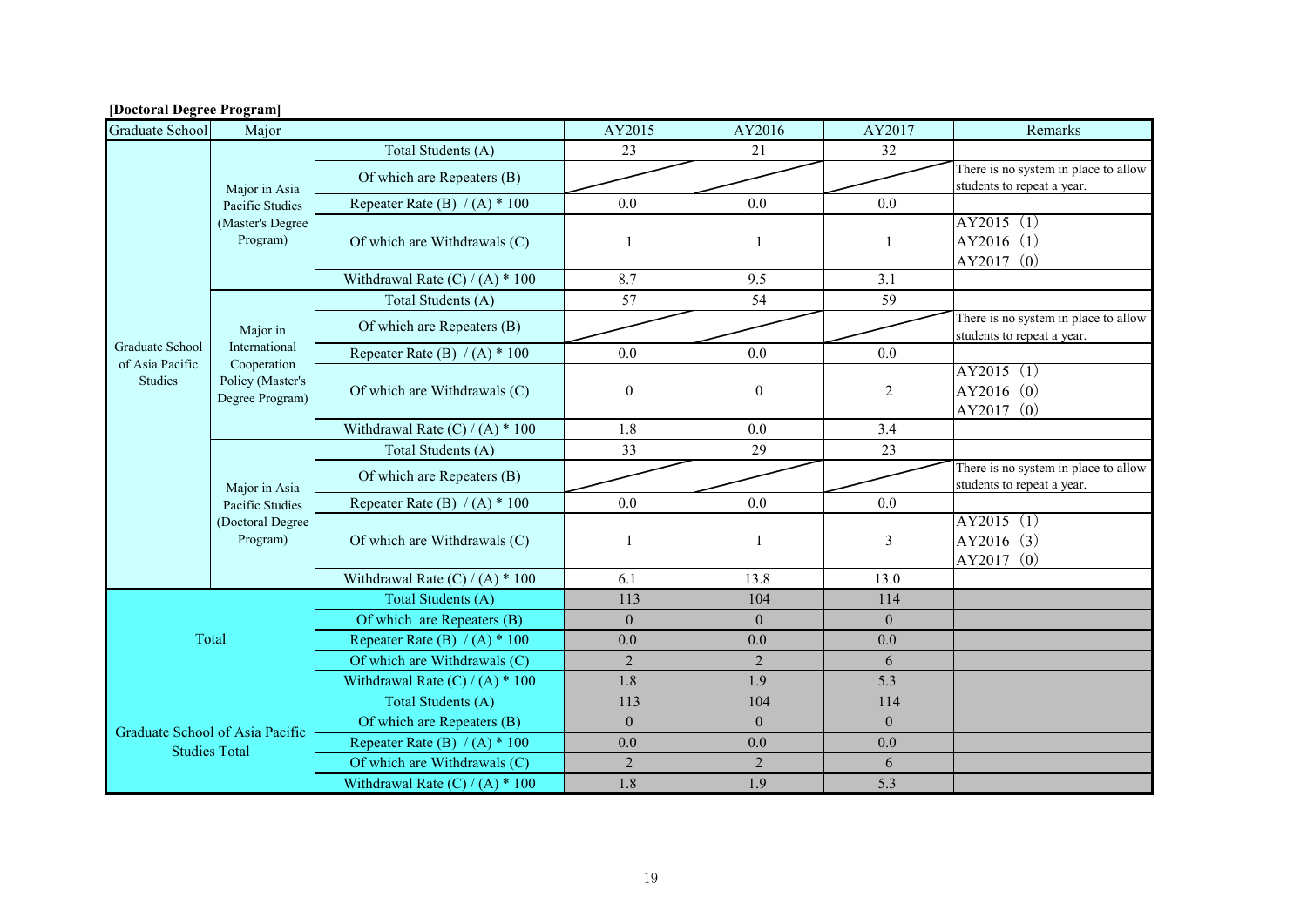| <b>Graduate School</b>                                  | Major                                                            |                                   | AY2015           | AY2016         | AY2017         | Remarks                                                            |
|---------------------------------------------------------|------------------------------------------------------------------|-----------------------------------|------------------|----------------|----------------|--------------------------------------------------------------------|
|                                                         |                                                                  | Total Students (A)                | 23               | 21             | 32             |                                                                    |
|                                                         |                                                                  | Of which are Repeaters (B)        |                  |                |                | There is no system in place to allow                               |
|                                                         | Major in Asia                                                    |                                   |                  |                |                | students to repeat a year.                                         |
|                                                         | Pacific Studies<br>(Master's Degree<br>Program)                  | Repeater Rate (B) $/(A)$ * 100    | 0.0              | 0.0            | 0.0            |                                                                    |
|                                                         |                                                                  |                                   | $\mathbf{1}$     |                | $\mathbf{1}$   | AY2015(1)<br>AY2016 (1)                                            |
|                                                         |                                                                  | Of which are Withdrawals (C)      |                  |                | 1              | AY2017 (0)                                                         |
|                                                         |                                                                  | Withdrawal Rate $(C) / (A) * 100$ | 8.7              | 9.5            | 3.1            |                                                                    |
|                                                         |                                                                  | Total Students (A)                | 57               | 54             | 59             |                                                                    |
|                                                         |                                                                  |                                   |                  |                |                | There is no system in place to allow                               |
|                                                         | Major in                                                         | Of which are Repeaters (B)        |                  |                |                | students to repeat a year.                                         |
| Graduate School<br>of Asia Pacific                      | International                                                    | Repeater Rate (B) $/(A) * 100$    | 0.0              | 0.0            | 0.0            |                                                                    |
| Studies                                                 | Cooperation<br>Policy (Master's                                  |                                   |                  |                |                | AY2015 (1)                                                         |
|                                                         | Degree Program)                                                  | Of which are Withdrawals (C)      | $\boldsymbol{0}$ | $\mathbf{0}$   | $\overline{2}$ | AY2016 (0)                                                         |
|                                                         |                                                                  |                                   |                  |                |                | AY2017 (0)                                                         |
|                                                         |                                                                  | Withdrawal Rate $(C) / (A) * 100$ | 1.8              | 0.0            | 3.4            |                                                                    |
|                                                         | Major in Asia<br>Pacific Studies<br>(Doctoral Degree<br>Program) | Total Students (A)                | 33               | 29             | 23             |                                                                    |
|                                                         |                                                                  | Of which are Repeaters (B)        |                  |                |                | There is no system in place to allow<br>students to repeat a year. |
|                                                         |                                                                  | Repeater Rate (B) $/(A)$ * 100    | 0.0              | 0.0            | 0.0            |                                                                    |
|                                                         |                                                                  |                                   |                  |                |                | AY2015 (1)                                                         |
|                                                         |                                                                  | Of which are Withdrawals (C)      | $\mathbf{1}$     | -1             | 3              | AY2016 (3)                                                         |
|                                                         |                                                                  |                                   |                  |                |                | AY2017 (0)                                                         |
|                                                         |                                                                  | Withdrawal Rate $(C) / (A) * 100$ | 6.1              | 13.8           | 13.0           |                                                                    |
|                                                         |                                                                  | Total Students (A)                | 113              | 104            | 114            |                                                                    |
|                                                         |                                                                  | Of which are Repeaters (B)        | $\theta$         | $\overline{0}$ | $\theta$       |                                                                    |
|                                                         | Total                                                            | Repeater Rate (B) $/(A) * 100$    | 0.0              | 0.0            | 0.0            |                                                                    |
|                                                         |                                                                  | Of which are Withdrawals (C)      | $\overline{2}$   | $\overline{2}$ | 6              |                                                                    |
|                                                         |                                                                  | Withdrawal Rate $(C) / (A) * 100$ | 1.8              | 1.9            | 5.3            |                                                                    |
| Graduate School of Asia Pacific<br><b>Studies Total</b> |                                                                  | Total Students (A)                | 113              | 104            | 114            |                                                                    |
|                                                         |                                                                  | Of which are Repeaters (B)        | $\theta$         | $\theta$       | $\Omega$       |                                                                    |
|                                                         |                                                                  | Repeater Rate (B) $/(A)$ * 100    | 0.0              | 0.0            | 0.0            |                                                                    |
|                                                         |                                                                  | Of which are Withdrawals (C)      | $\overline{2}$   | $\sqrt{2}$     | 6              |                                                                    |
|                                                         |                                                                  | Withdrawal Rate $(C) / (A) * 100$ | 1.8              | 1.9            | 5.3            |                                                                    |

#### **[Doctoral Degree Program]**